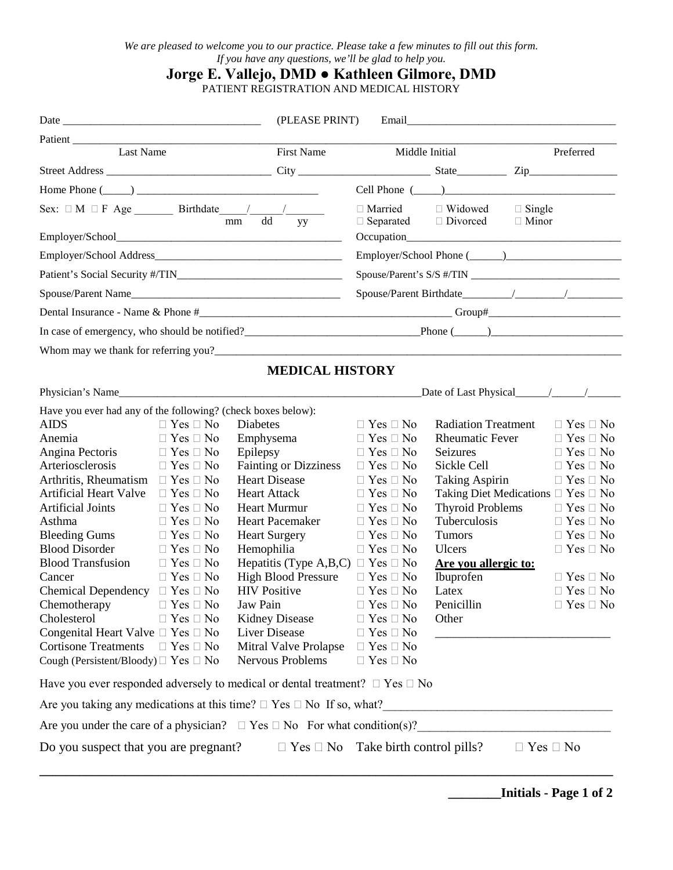# **Jorge E. Vallejo, DMD ● Kathleen Gilmore, DMD**

PATIENT REGISTRATION AND MEDICAL HISTORY

|                                                                                                                 |                                                                                          |                                                                                        | (PLEASE PRINT)       |                                                                                                                                                                                                                    |           |                      |  |
|-----------------------------------------------------------------------------------------------------------------|------------------------------------------------------------------------------------------|----------------------------------------------------------------------------------------|----------------------|--------------------------------------------------------------------------------------------------------------------------------------------------------------------------------------------------------------------|-----------|----------------------|--|
|                                                                                                                 |                                                                                          | Patient                                                                                |                      |                                                                                                                                                                                                                    |           |                      |  |
| Last Name                                                                                                       |                                                                                          | First Name                                                                             | Middle Initial       |                                                                                                                                                                                                                    | Preferred |                      |  |
|                                                                                                                 |                                                                                          |                                                                                        |                      |                                                                                                                                                                                                                    |           |                      |  |
|                                                                                                                 |                                                                                          | Home Phone $(\_\_)$                                                                    |                      |                                                                                                                                                                                                                    |           |                      |  |
|                                                                                                                 |                                                                                          |                                                                                        |                      | $\begin{tabular}{llll} \hline \Box \text{Married} & \quad \Box \text{ Widowed} & \quad \Box \text{ Single} \\ \hline \Box \text{ Separated} & \quad \Box \text{ Divored} & \quad \Box \text{ Minor} \end{tabular}$ |           |                      |  |
|                                                                                                                 |                                                                                          |                                                                                        |                      |                                                                                                                                                                                                                    |           |                      |  |
|                                                                                                                 |                                                                                          |                                                                                        |                      |                                                                                                                                                                                                                    |           |                      |  |
|                                                                                                                 |                                                                                          |                                                                                        |                      |                                                                                                                                                                                                                    |           |                      |  |
|                                                                                                                 |                                                                                          |                                                                                        |                      |                                                                                                                                                                                                                    |           |                      |  |
|                                                                                                                 |                                                                                          |                                                                                        |                      |                                                                                                                                                                                                                    |           |                      |  |
|                                                                                                                 | In case of emergency, who should be notified?<br>$\qquad \qquad$ Phone $(\qquad \qquad)$ |                                                                                        |                      |                                                                                                                                                                                                                    |           |                      |  |
|                                                                                                                 |                                                                                          |                                                                                        |                      |                                                                                                                                                                                                                    |           |                      |  |
| <b>MEDICAL HISTORY</b>                                                                                          |                                                                                          |                                                                                        |                      |                                                                                                                                                                                                                    |           |                      |  |
|                                                                                                                 |                                                                                          |                                                                                        |                      |                                                                                                                                                                                                                    |           |                      |  |
| Have you ever had any of the following? (check boxes below):                                                    |                                                                                          |                                                                                        |                      |                                                                                                                                                                                                                    |           |                      |  |
| <b>AIDS</b>                                                                                                     | $\Box$ Yes $\Box$ No                                                                     | Diabetes                                                                               | $\Box$ Yes $\Box$ No | <b>Radiation Treatment</b>                                                                                                                                                                                         |           | $\Box$ Yes $\Box$ No |  |
| Anemia                                                                                                          | $\Box$ Yes $\Box$ No                                                                     | Emphysema                                                                              | $\Box$ Yes $\Box$ No | <b>Rheumatic Fever</b>                                                                                                                                                                                             |           | $\Box$ Yes $\Box$ No |  |
| Angina Pectoris                                                                                                 | $\Box$ Yes $\Box$ No                                                                     | Epilepsy                                                                               | $\Box$ Yes $\Box$ No | Seizures                                                                                                                                                                                                           |           | $\Box$ Yes $\Box$ No |  |
| Arteriosclerosis                                                                                                | $\Box$ Yes $\Box$ No                                                                     | <b>Fainting or Dizziness</b>                                                           | $\Box$ Yes $\Box$ No | Sickle Cell                                                                                                                                                                                                        |           | $\Box$ Yes $\Box$ No |  |
| Arthritis, Rheumatism $\Box$ Yes $\Box$ No                                                                      |                                                                                          | <b>Heart Disease</b>                                                                   | $\Box$ Yes $\Box$ No | Taking Aspirin                                                                                                                                                                                                     |           | $\Box$ Yes $\Box$ No |  |
| Artificial Heart Valve $\Box$ Yes $\Box$ No                                                                     |                                                                                          | <b>Heart Attack</b>                                                                    | $\Box$ Yes $\Box$ No | Taking Diet Medications $\Box$ Yes $\Box$ No                                                                                                                                                                       |           |                      |  |
| <b>Artificial Joints</b>                                                                                        | $\Box$ Yes $\Box$ No                                                                     | <b>Heart Murmur</b>                                                                    | $\Box$ Yes $\Box$ No | <b>Thyroid Problems</b><br>$\Box$ Yes $\Box$ No                                                                                                                                                                    |           |                      |  |
| Asthma                                                                                                          | $\Box$ Yes $\Box$ No                                                                     | <b>Heart Pacemaker</b>                                                                 | $\Box$ Yes $\Box$ No | Tuberculosis<br>$\Box$ Yes $\Box$ No                                                                                                                                                                               |           |                      |  |
| <b>Bleeding Gums</b>                                                                                            | $\Box$ Yes $\Box$ No                                                                     | <b>Heart Surgery</b>                                                                   | $\Box$ Yes $\Box$ No | <b>Tumors</b><br>$\Box$ Yes $\Box$ No                                                                                                                                                                              |           |                      |  |
| <b>Blood Disorder</b>                                                                                           | $\Box$ Yes $\Box$ No                                                                     | Hemophilia                                                                             | $\Box$ Yes $\Box$ No | Ulcers<br>$\Box$ Yes $\Box$ No                                                                                                                                                                                     |           |                      |  |
| <b>Blood Transfusion</b>                                                                                        | $\Box$ Yes $\Box$ No                                                                     | Hepatitis (Type A,B,C) $\Box$ Yes $\Box$ No                                            |                      | Are you allergic to:                                                                                                                                                                                               |           |                      |  |
| Cancer                                                                                                          | $\Box$ Yes $\Box$ No                                                                     | <b>High Blood Pressure</b>                                                             | $\Box$ Yes $\Box$ No | Ibuprofen                                                                                                                                                                                                          |           | $\Box$ Yes $\Box$ No |  |
| Chemical Dependency $\Box$ Yes $\Box$ No                                                                        |                                                                                          | <b>HIV Positive</b>                                                                    | $\Box$ Yes $\Box$ No | Latex                                                                                                                                                                                                              |           | $\Box$ Yes $\Box$ No |  |
| Chemotherapy $\Box$ Yes $\Box$ No                                                                               |                                                                                          | Jaw Pain                                                                               | $\Box$ Yes $\Box$ No | Penicillin                                                                                                                                                                                                         |           | $\Box$ Yes $\Box$ No |  |
| Cholesterol                                                                                                     | $\Box$ Yes $\Box$ No                                                                     | <b>Kidney Disease</b>                                                                  | $\Box$ Yes $\Box$ No | Other                                                                                                                                                                                                              |           |                      |  |
| Congenital Heart Valve $\Box$ Yes $\Box$ No                                                                     |                                                                                          | Liver Disease                                                                          | $\Box$ Yes $\Box$ No |                                                                                                                                                                                                                    |           |                      |  |
| <b>Cortisone Treatments</b>                                                                                     | $\Box$ Yes $\Box$ No                                                                     | Mitral Valve Prolapse                                                                  | $\Box$ Yes $\Box$ No |                                                                                                                                                                                                                    |           |                      |  |
| Cough (Persistent/Bloody) $\Box$ Yes $\Box$ No                                                                  |                                                                                          | Nervous Problems                                                                       | $\Box$ Yes $\Box$ No |                                                                                                                                                                                                                    |           |                      |  |
|                                                                                                                 |                                                                                          | Have you ever responded adversely to medical or dental treatment? $\Box$ Yes $\Box$ No |                      |                                                                                                                                                                                                                    |           |                      |  |
|                                                                                                                 |                                                                                          |                                                                                        |                      |                                                                                                                                                                                                                    |           |                      |  |
|                                                                                                                 |                                                                                          | Are you under the care of a physician? $\Box$ Yes $\Box$ No For what condition(s)?     |                      |                                                                                                                                                                                                                    |           |                      |  |
| $\Box$ Yes $\Box$ No Take birth control pills?<br>Do you suspect that you are pregnant?<br>$\Box$ Yes $\Box$ No |                                                                                          |                                                                                        |                      |                                                                                                                                                                                                                    |           |                      |  |
|                                                                                                                 |                                                                                          |                                                                                        |                      |                                                                                                                                                                                                                    |           |                      |  |